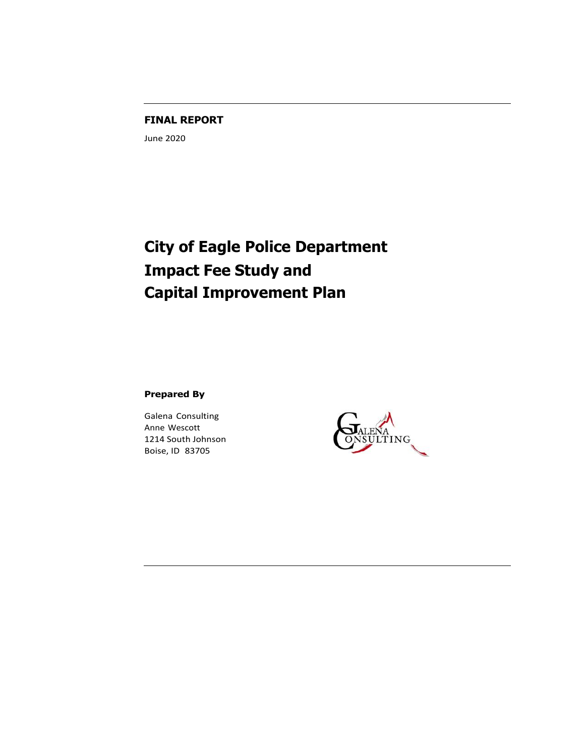#### **FINAL REPORT**

June 2020

# **City of Eagle Police Department Impact Fee Study and Capital Improvement Plan**

**Prepared By**

Galena Consulting Anne Wescott 1214 South Johnson Boise, ID 83705

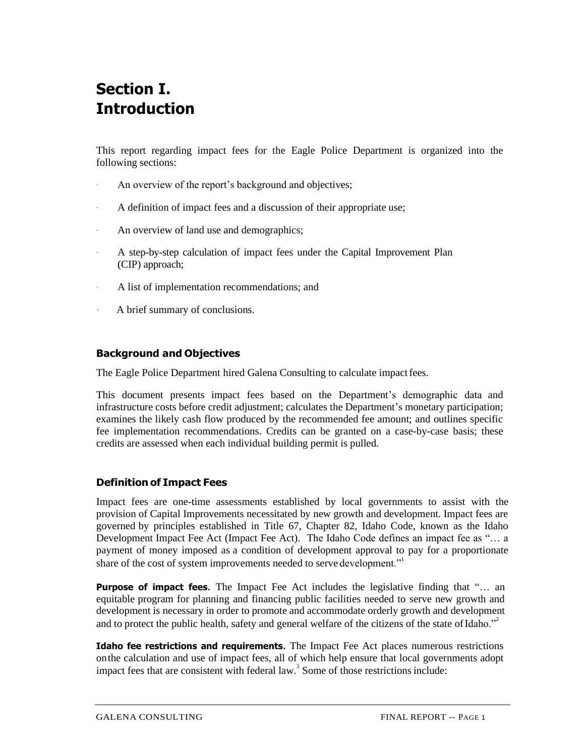## **Section I. Introduction**

This report regarding impact fees for the Eagle Police Department is organized into the following sections:

- An overview of the report's background and objectives;
- A definition of impact fees and a discussion of their appropriate use;
- An overview of land use and demographics;
- A step-by-step calculation of impact fees under the Capital Improvement Plan (CIP) approach;
- A list of implementation recommendations; and
- A brief summary of conclusions.

### **Background and Objectives**

The Eagle Police Department hired Galena Consulting to calculate impact fees.

This document presents impact fees based on the Department's demographic data and infrastructure costs before credit adjustment; calculates the Department's monetary participation; examines the likely cash flow produced by the recommended fee amount; and outlines specific fee implementation recommendations. Credits can be granted on a case-by-case basis; these credits are assessed when each individual building permit is pulled.

## **Definition of Impact Fees**

Impact fees are one-time assessments established by local governments to assist with the provision of Capital Improvements necessitated by new growth and development. Impact fees are governed by principles established in Title 67, Chapter 82, Idaho Code, known as the Idaho Development Impact Fee Act (Impact Fee Act). The Idaho Code defines an impact fee as "… a payment of money imposed as a condition of development approval to pay for a proportionate share of the cost of system improvements needed to serve development."

**Purpose of impact fees.** The Impact Fee Act includes the legislative finding that "… an equitable program for planning and financing public facilities needed to serve new growth and development is necessary in order to promote and accommodate orderly growth and development and to protect the public health, safety and general welfare of the citizens of the state of Idaho. $<sup>2</sup>$ </sup>

**Idaho fee restrictions and requirements.** The Impact Fee Act places numerous restrictions onthe calculation and use of impact fees, all of which help ensure that local governments adopt impact fees that are consistent with federal law.<sup>3</sup> Some of those restrictions include: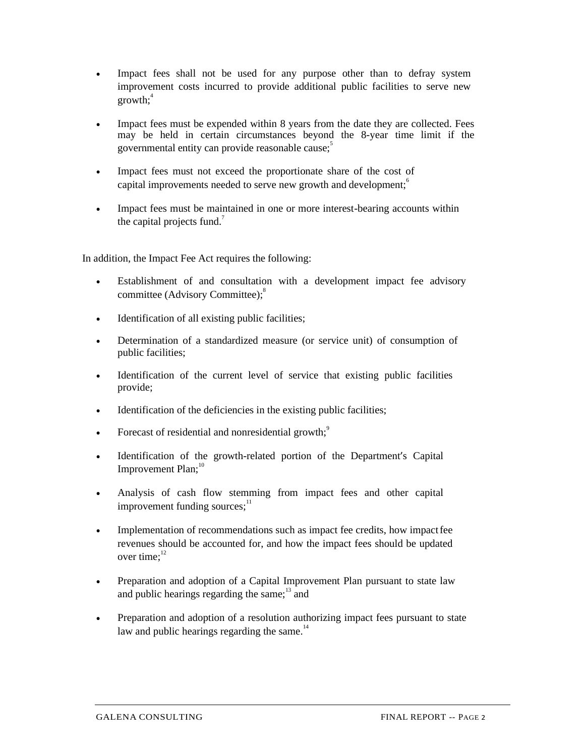- Impact fees shall not be used for any purpose other than to defray system improvement costs incurred to provide additional public facilities to serve new  $growth:$ <sup>4</sup>
- Impact fees must be expended within 8 years from the date they are collected. Fees may be held in certain circumstances beyond the 8-year time limit if the governmental entity can provide reasonable cause; 5
- Impact fees must not exceed the proportionate share of the cost of capital improvements needed to serve new growth and development;<sup>6</sup>
- Impact fees must be maintained in one or more interest-bearing accounts within the capital projects fund.<sup>7</sup>

In addition, the Impact Fee Act requires the following:

- Establishment of and consultation with a development impact fee advisory committee (Advisory Committee);<sup>8</sup>
- Identification of all existing public facilities;
- Determination of a standardized measure (or service unit) of consumption of public facilities;
- Identification of the current level of service that existing public facilities provide;
- Identification of the deficiencies in the existing public facilities;
- Forecast of residential and nonresidential growth;<sup>9</sup>
- Identification of the growth-related portion of the Department's Capital Improvement Plan:<sup>10</sup>
- Analysis of cash flow stemming from impact fees and other capital improvement funding sources: $11$
- Implementation of recommendations such as impact fee credits, how impact fee revenues should be accounted for, and how the impact fees should be updated over time; $^{12}$
- Preparation and adoption of a Capital Improvement Plan pursuant to state law and public hearings regarding the same; $13$  and
- Preparation and adoption of a resolution authorizing impact fees pursuant to state law and public hearings regarding the same. $14$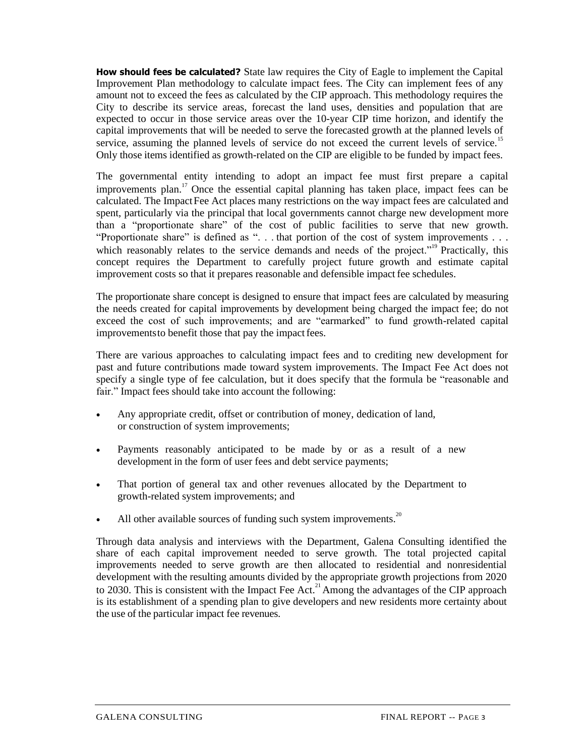**How should fees be calculated?** State law requires the City of Eagle to implement the Capital Improvement Plan methodology to calculate impact fees. The City can implement fees of any amount not to exceed the fees as calculated by the CIP approach. This methodology requires the City to describe its service areas, forecast the land uses, densities and population that are expected to occur in those service areas over the 10-year CIP time horizon, and identify the capital improvements that will be needed to serve the forecasted growth at the planned levels of service, assuming the planned levels of service do not exceed the current levels of service.<sup>15</sup> Only those items identified as growth-related on the CIP are eligible to be funded by impact fees.

The governmental entity intending to adopt an impact fee must first prepare a capital improvements plan.<sup>17</sup> Once the essential capital planning has taken place, impact fees can be calculated. The ImpactFee Act places many restrictions on the way impact fees are calculated and spent, particularly via the principal that local governments cannot charge new development more than a "proportionate share" of the cost of public facilities to serve that new growth. "Proportionate share" is defined as ". . . that portion of the cost of system improvements . . . which reasonably relates to the service demands and needs of the project."<sup>19</sup> Practically, this concept requires the Department to carefully project future growth and estimate capital improvement costs so that it prepares reasonable and defensible impact fee schedules.

The proportionate share concept is designed to ensure that impact fees are calculated by measuring the needs created for capital improvements by development being charged the impact fee; do not exceed the cost of such improvements; and are "earmarked" to fund growth-related capital improvements to benefit those that pay the impact fees.

There are various approaches to calculating impact fees and to crediting new development for past and future contributions made toward system improvements. The Impact Fee Act does not specify a single type of fee calculation, but it does specify that the formula be "reasonable and fair." Impact fees should take into account the following:

- Any appropriate credit, offset or contribution of money, dedication of land, or construction of system improvements;
- Payments reasonably anticipated to be made by or as a result of a new development in the form of user fees and debt service payments;
- That portion of general tax and other revenues allocated by the Department to growth-related system improvements; and
- All other available sources of funding such system improvements. $^{20}$

Through data analysis and interviews with the Department, Galena Consulting identified the share of each capital improvement needed to serve growth. The total projected capital improvements needed to serve growth are then allocated to residential and nonresidential development with the resulting amounts divided by the appropriate growth projections from 2020 to 2030. This is consistent with the Impact Fee Act.<sup>21</sup> Among the advantages of the CIP approach is its establishment of a spending plan to give developers and new residents more certainty about the use of the particular impact fee revenues.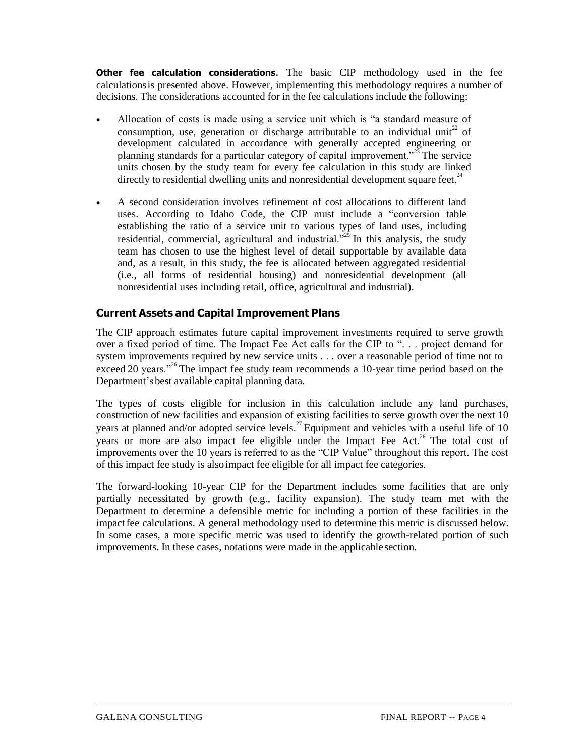**Other fee calculation considerations.** The basic CIP methodology used in the fee calculationsis presented above. However, implementing this methodology requires a number of decisions. The considerations accounted for in the fee calculations include the following:

- Allocation of costs is made using a service unit which is "a standard measure of consumption, use, generation or discharge attributable to an individual unit<sup>22</sup> of development calculated in accordance with generally accepted engineering or planning standards for a particular category of capital improvement."<sup>23</sup>The service units chosen by the study team for every fee calculation in this study are linked directly to residential dwelling units and nonresidential development square feet. $24$
- A second consideration involves refinement of cost allocations to different land uses. According to Idaho Code, the CIP must include a "conversion table establishing the ratio of a service unit to various types of land uses, including residential, commercial, agricultural and industrial."<sup>25</sup> In this analysis, the study team has chosen to use the highest level of detail supportable by available data and, as a result, in this study, the fee is allocated between aggregated residential (i.e., all forms of residential housing) and nonresidential development (all nonresidential uses including retail, office, agricultural and industrial).

## **Current Assets and Capital Improvement Plans**

The CIP approach estimates future capital improvement investments required to serve growth over a fixed period of time. The Impact Fee Act calls for the CIP to ". . . project demand for system improvements required by new service units . . . over a reasonable period of time not to exceed 20 years."<sup>26</sup>The impact fee study team recommends a 10-year time period based on the Department'sbest available capital planning data.

The types of costs eligible for inclusion in this calculation include any land purchases, construction of new facilities and expansion of existing facilities to serve growth over the next 10 years at planned and/or adopted service levels.<sup>27</sup> Equipment and vehicles with a useful life of 10 years or more are also impact fee eligible under the Impact Fee Act.<sup>28</sup> The total cost of improvements over the 10 years is referred to as the "CIP Value" throughout this report. The cost of this impact fee study is alsoimpact fee eligible for all impact fee categories.

The forward-looking 10-year CIP for the Department includes some facilities that are only partially necessitated by growth (e.g., facility expansion). The study team met with the Department to determine a defensible metric for including a portion of these facilities in the impact fee calculations. A general methodology used to determine this metric is discussed below. In some cases, a more specific metric was used to identify the growth-related portion of such improvements. In these cases, notations were made in the applicable section.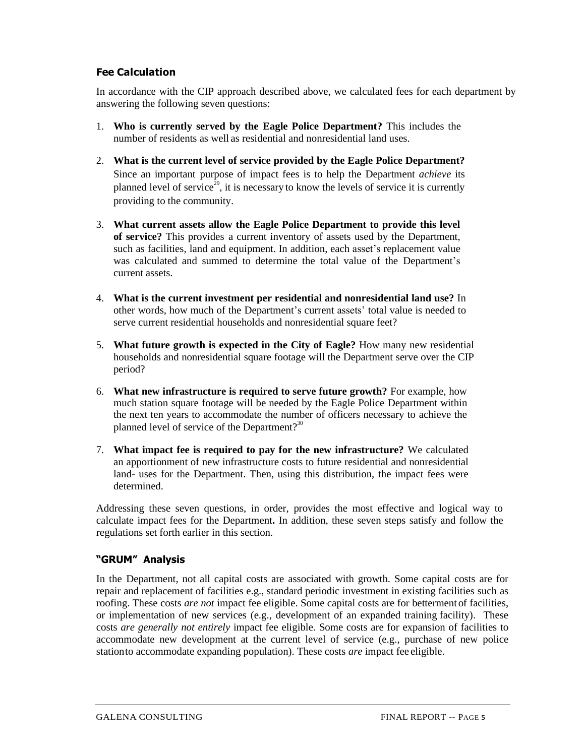## **Fee Calculation**

In accordance with the CIP approach described above, we calculated fees for each department by answering the following seven questions:

- 1. **Who is currently served by the Eagle Police Department?** This includes the number of residents as well as residential and nonresidential land uses.
- 2. **What is the current level of service provided by the Eagle Police Department?**  Since an important purpose of impact fees is to help the Department *achieve* its planned level of service<sup>29</sup>, it is necessary to know the levels of service it is currently providing to the community.
- 3. **What current assets allow the Eagle Police Department to provide this level of service?** This provides a current inventory of assets used by the Department, such as facilities, land and equipment. In addition, each asset's replacement value was calculated and summed to determine the total value of the Department's current assets.
- 4. **What is the current investment per residential and nonresidential land use?** In other words, how much of the Department's current assets' total value is needed to serve current residential households and nonresidential square feet?
- 5. **What future growth is expected in the City of Eagle?** How many new residential households and nonresidential square footage will the Department serve over the CIP period?
- 6. **What new infrastructure is required to serve future growth?** For example, how much station square footage will be needed by the Eagle Police Department within the next ten years to accommodate the number of officers necessary to achieve the planned level of service of the Department?<sup>30</sup>
- 7. **What impact fee is required to pay for the new infrastructure?** We calculated an apportionment of new infrastructure costs to future residential and nonresidential land- uses for the Department. Then, using this distribution, the impact fees were determined.

Addressing these seven questions, in order, provides the most effective and logical way to calculate impact fees for the Department**.** In addition, these seven steps satisfy and follow the regulations set forth earlier in this section.

## **"GRUM" Analysis**

In the Department, not all capital costs are associated with growth. Some capital costs are for repair and replacement of facilities e.g., standard periodic investment in existing facilities such as roofing. These costs *are not* impact fee eligible. Some capital costs are for bettermentof facilities, or implementation of new services (e.g., development of an expanded training facility). These costs *are generally not entirely* impact fee eligible. Some costs are for expansion of facilities to accommodate new development at the current level of service (e.g., purchase of new police stationto accommodate expanding population). These costs *are* impact fee eligible.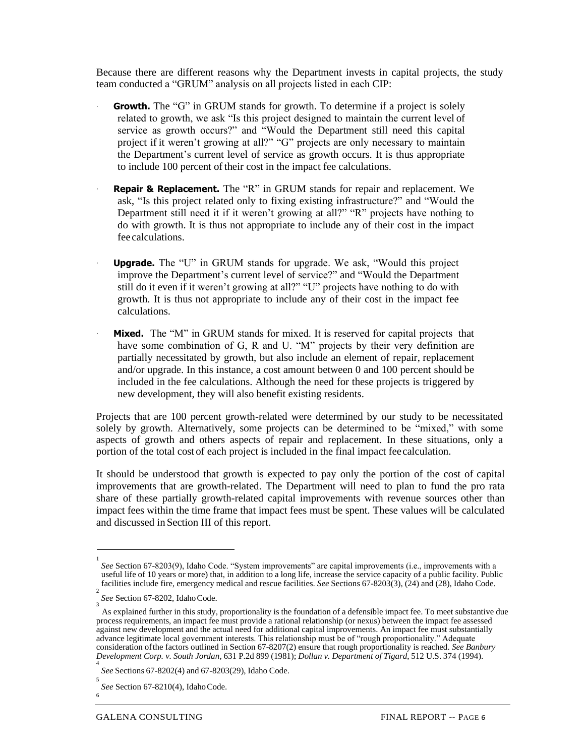Because there are different reasons why the Department invests in capital projects, the study team conducted a "GRUM" analysis on all projects listed in each CIP:

- **Growth.** The "G" in GRUM stands for growth. To determine if a project is solely related to growth, we ask "Is this project designed to maintain the current level of service as growth occurs?" and "Would the Department still need this capital project if it weren't growing at all?" "G" projects are only necessary to maintain the Department's current level of service as growth occurs. It is thus appropriate to include 100 percent of their cost in the impact fee calculations.
- **Repair & Replacement.** The "R" in GRUM stands for repair and replacement. We ask, "Is this project related only to fixing existing infrastructure?" and "Would the Department still need it if it weren't growing at all?" "R" projects have nothing to do with growth. It is thus not appropriate to include any of their cost in the impact fee calculations.
- **Upgrade.** The "U" in GRUM stands for upgrade. We ask, "Would this project improve the Department's current level of service?" and "Would the Department still do it even if it weren't growing at all?" "U" projects have nothing to do with growth. It is thus not appropriate to include any of their cost in the impact fee calculations.
- **Mixed.** The "M" in GRUM stands for mixed. It is reserved for capital projects that have some combination of G, R and U. "M" projects by their very definition are partially necessitated by growth, but also include an element of repair, replacement and/or upgrade. In this instance, a cost amount between 0 and 100 percent should be included in the fee calculations. Although the need for these projects is triggered by new development, they will also benefit existing residents.

Projects that are 100 percent growth-related were determined by our study to be necessitated solely by growth. Alternatively, some projects can be determined to be "mixed," with some aspects of growth and others aspects of repair and replacement. In these situations, only a portion of the total cost of each project is included in the final impact feecalculation.

It should be understood that growth is expected to pay only the portion of the cost of capital improvements that are growth-related. The Department will need to plan to fund the pro rata share of these partially growth-related capital improvements with revenue sources other than impact fees within the time frame that impact fees must be spent. These values will be calculated and discussed in Section III of this report.

6

<sup>1</sup> *See* Section 67-8203(9), Idaho Code. "System improvements" are capital improvements (i.e., improvements with a useful life of 10 years or more) that, in addition to a long life, increase the service capacity of a public facility. Public facilities include fire, emergency medical and rescue facilities. *See* Sections 67-8203(3), (24) and (28), Idaho Code.

<sup>2</sup> See Section 67-8202, Idaho Code.

<sup>3</sup> As explained further in this study, proportionality is the foundation of a defensible impact fee. To meet substantive due process requirements, an impact fee must provide a rational relationship (or nexus) between the impact fee assessed against new development and the actual need for additional capital improvements. An impact fee must substantially advance legitimate local government interests. This relationship must be of "rough proportionality." Adequate consideration ofthe factors outlined in Section 67-8207(2) ensure that rough proportionality is reached. *See Banbury Development Corp. v. South Jordan*, 631 P.2d 899 (1981); *Dollan v. Department of Tigard*, 512 U.S. 374 (1994).

<sup>4</sup> *See* Sections 67-8202(4) and 67-8203(29), Idaho Code.

<sup>5</sup> *See* Section 67-8210(4), IdahoCode.

GALENA CONSULTING FINAL REPORT -- PAGE 6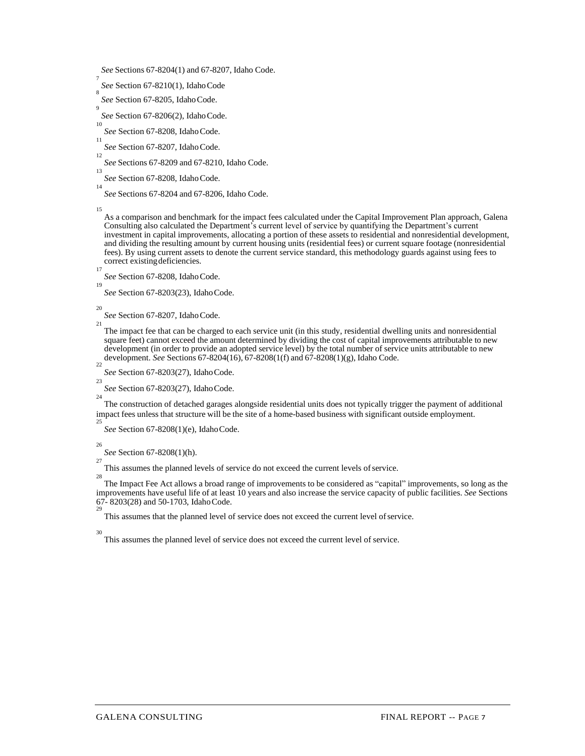*See* Sections 67-8204(1) and 67-8207, Idaho Code.

- 7 *See* Section 67-8210(1), IdahoCode
- 8 *See* Section 67-8205, IdahoCode.
- 9 *See* Section 67-8206(2), IdahoCode.
- 10 *See* Section 67-8208, IdahoCode.
- 11 *See* Section 67-8207, IdahoCode.
- 12 *See* Sections 67-8209 and 67-8210, Idaho Code.
- 13 *See* Section 67-8208, IdahoCode.
- 14 *See* Sections 67-8204 and 67-8206, Idaho Code.

15

As a comparison and benchmark for the impact fees calculated under the Capital Improvement Plan approach, Galena Consulting also calculated the Department's current level of service by quantifying the Department's current investment in capital improvements, allocating a portion of these assets to residential and nonresidential development, and dividing the resulting amount by current housing units (residential fees) or current square footage (nonresidential fees). By using current assets to denote the current service standard, this methodology guards against using fees to correct existingdeficiencies.

*See* Section 67-8208, IdahoCode. 19

*See* Section 67-8203(23), IdahoCode.

20

17

*See* Section 67-8207, IdahoCode. 21

The impact fee that can be charged to each service unit (in this study, residential dwelling units and nonresidential square feet) cannot exceed the amount determined by dividing the cost of capital improvements attributable to new development (in order to provide an adopted service level) by the total number of service units attributable to new development. *See* Sections 67-8204(16), 67-8208(1(f) and 67-8208(1)(g), Idaho Code.

*See* Section 67-8203(27), IdahoCode.

23

 $22$ 

*See* Section 67-8203(27), IdahoCode. 24

The construction of detached garages alongside residential units does not typically trigger the payment of additional impact fees unless that structure will be the site of a home-based business with significant outside employment.

*See* Section 67-8208(1)(e), IdahoCode.

 $26$ 

25

*See* Section 67-8208(1)(h).  $27$ 

This assumes the planned levels of service do not exceed the current levels ofservice. 28

The Impact Fee Act allows a broad range of improvements to be considered as "capital" improvements, so long as the improvements have useful life of at least 10 years and also increase the service capacity of public facilities. *See* Sections 67- 8203(28) and 50-1703, IdahoCode. 29

This assumes that the planned level of service does not exceed the current level ofservice.

30

This assumes the planned level of service does not exceed the current level of service.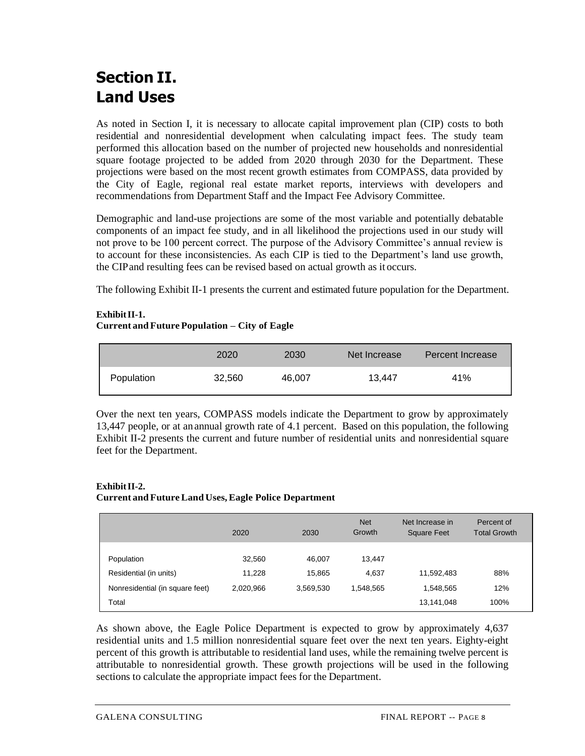## **Section II. Land Uses**

As noted in Section I, it is necessary to allocate capital improvement plan (CIP) costs to both residential and nonresidential development when calculating impact fees. The study team performed this allocation based on the number of projected new households and nonresidential square footage projected to be added from 2020 through 2030 for the Department. These projections were based on the most recent growth estimates from COMPASS, data provided by the City of Eagle, regional real estate market reports, interviews with developers and recommendations from Department Staff and the Impact Fee Advisory Committee.

Demographic and land-use projections are some of the most variable and potentially debatable components of an impact fee study, and in all likelihood the projections used in our study will not prove to be 100 percent correct. The purpose of the Advisory Committee's annual review is to account for these inconsistencies. As each CIP is tied to the Department's land use growth, the CIPand resulting fees can be revised based on actual growth as it occurs.

The following Exhibit II-1 presents the current and estimated future population for the Department.

## **ExhibitII-1. Current and Future Population – City of Eagle**

|            | 2020   | 2030   | Net Increase | Percent Increase |
|------------|--------|--------|--------------|------------------|
| Population | 32,560 | 46,007 | 13.447       | 41%              |

Over the next ten years, COMPASS models indicate the Department to grow by approximately 13,447 people, or at anannual growth rate of 4.1 percent. Based on this population, the following Exhibit II-2 presents the current and future number of residential units and nonresidential square feet for the Department.

#### **ExhibitII-2. Current and FutureLand Uses,Eagle Police Department**

|                                          | 2020             | 2030             | <b>Net</b><br>Growth | Net Increase in<br><b>Square Feet</b> | Percent of<br><b>Total Growth</b> |
|------------------------------------------|------------------|------------------|----------------------|---------------------------------------|-----------------------------------|
| Population<br>Residential (in units)     | 32,560<br>11.228 | 46.007<br>15.865 | 13.447<br>4.637      | 11,592,483                            | 88%                               |
| Nonresidential (in square feet)<br>Total | 2,020,966        | 3,569,530        | 1,548,565            | 1,548,565<br>13,141,048               | 12%<br>100%                       |

As shown above, the Eagle Police Department is expected to grow by approximately 4,637 residential units and 1.5 million nonresidential square feet over the next ten years. Eighty-eight percent of this growth is attributable to residential land uses, while the remaining twelve percent is attributable to nonresidential growth. These growth projections will be used in the following sections to calculate the appropriate impact fees for the Department.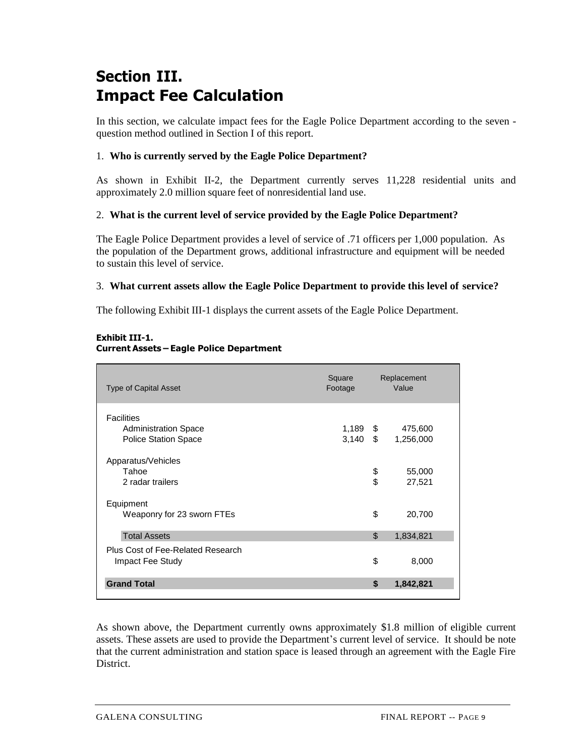## **Section III. Impact Fee Calculation**

In this section, we calculate impact fees for the Eagle Police Department according to the seven question method outlined in Section I of this report.

### 1. **Who is currently served by the Eagle Police Department?**

As shown in Exhibit II-2, the Department currently serves 11,228 residential units and approximately 2.0 million square feet of nonresidential land use.

### 2. **What is the current level of service provided by the Eagle Police Department?**

The Eagle Police Department provides a level of service of .71 officers per 1,000 population. As the population of the Department grows, additional infrastructure and equipment will be needed to sustain this level of service.

#### 3. **What current assets allow the Eagle Police Department to provide this level of service?**

The following Exhibit III-1 displays the current assets of the Eagle Police Department.

| <b>Type of Capital Asset</b>                                                    | Square<br>Footage        |                | Replacement<br>Value |  |
|---------------------------------------------------------------------------------|--------------------------|----------------|----------------------|--|
| <b>Facilities</b><br><b>Administration Space</b><br><b>Police Station Space</b> | $1,189$ \$<br>$3,140$ \$ |                | 475,600<br>1,256,000 |  |
| Apparatus/Vehicles<br>Tahoe<br>2 radar trailers                                 |                          | \$<br>\$       | 55,000<br>27,521     |  |
| Equipment<br>Weaponry for 23 sworn FTEs                                         |                          | \$             | 20,700               |  |
| <b>Total Assets</b>                                                             |                          | $\mathfrak{L}$ | 1,834,821            |  |
| Plus Cost of Fee-Related Research<br>Impact Fee Study                           |                          | \$             | 8,000                |  |
| <b>Grand Total</b>                                                              |                          | \$             | 1,842,821            |  |

#### **Exhibit III-1. Current Assets – Eagle Police Department**

As shown above, the Department currently owns approximately \$1.8 million of eligible current assets. These assets are used to provide the Department's current level of service. It should be note that the current administration and station space is leased through an agreement with the Eagle Fire District.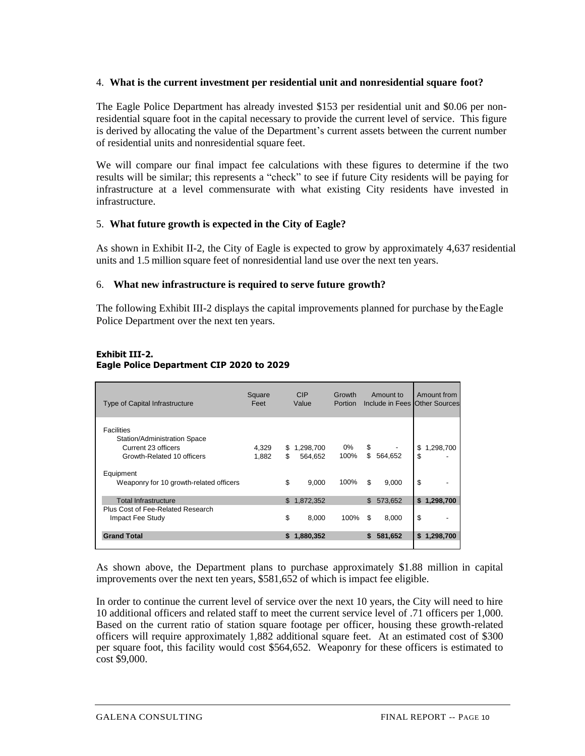#### 4. **What is the current investment per residential unit and nonresidential square foot?**

The Eagle Police Department has already invested \$153 per residential unit and \$0.06 per nonresidential square foot in the capital necessary to provide the current level of service. This figure is derived by allocating the value of the Department's current assets between the current number of residential units and nonresidential square feet.

We will compare our final impact fee calculations with these figures to determine if the two results will be similar; this represents a "check" to see if future City residents will be paying for infrastructure at a level commensurate with what existing City residents have invested in infrastructure.

#### 5. **What future growth is expected in the City of Eagle?**

As shown in Exhibit II-2, the City of Eagle is expected to grow by approximately 4,637 residential units and 1.5 million square feet of nonresidential land use over the next ten years.

#### 6. **What new infrastructure is required to serve future growth?**

The following Exhibit III-2 displays the capital improvements planned for purchase by theEagle Police Department over the next ten years.

#### **Exhibit III-2. Eagle Police Department CIP 2020 to 2029**

| <b>Type of Capital Infrastructure</b>                                                                  | Square<br>Feet |          | <b>CIP</b><br>Value  | Growth<br><b>Portion</b> |              | Amount to<br>Include in Fees Other Sources |          | Amount from |
|--------------------------------------------------------------------------------------------------------|----------------|----------|----------------------|--------------------------|--------------|--------------------------------------------|----------|-------------|
| <b>Facilities</b><br>Station/Administration Space<br>Current 23 officers<br>Growth-Related 10 officers | 4,329<br>1,882 | \$<br>\$ | 1,298,700<br>564.652 | $0\%$<br>100%            | \$<br>\$     | 564,652                                    | \$<br>\$ | 1,298,700   |
| Equipment<br>Weaponry for 10 growth-related officers                                                   |                | \$       | 9,000                | 100%                     | \$           | 9,000                                      | \$       |             |
| <b>Total Infrastructure</b>                                                                            |                |          | \$1,872,352          |                          | $\mathbb{S}$ | 573,652                                    |          | \$1,298,700 |
| Plus Cost of Fee-Related Research<br>Impact Fee Study                                                  |                | \$       | 8,000                | 100%                     | \$           | 8,000                                      | \$       |             |
| <b>Grand Total</b>                                                                                     |                |          | \$1,880,352          |                          | \$.          | 581,652                                    |          | \$1,298,700 |

As shown above, the Department plans to purchase approximately \$1.88 million in capital improvements over the next ten years, \$581,652 of which is impact fee eligible.

In order to continue the current level of service over the next 10 years, the City will need to hire 10 additional officers and related staff to meet the current service level of .71 officers per 1,000. Based on the current ratio of station square footage per officer, housing these growth-related officers will require approximately 1,882 additional square feet. At an estimated cost of \$300 per square foot, this facility would cost \$564,652. Weaponry for these officers is estimated to  $\cosh \$9,000$ .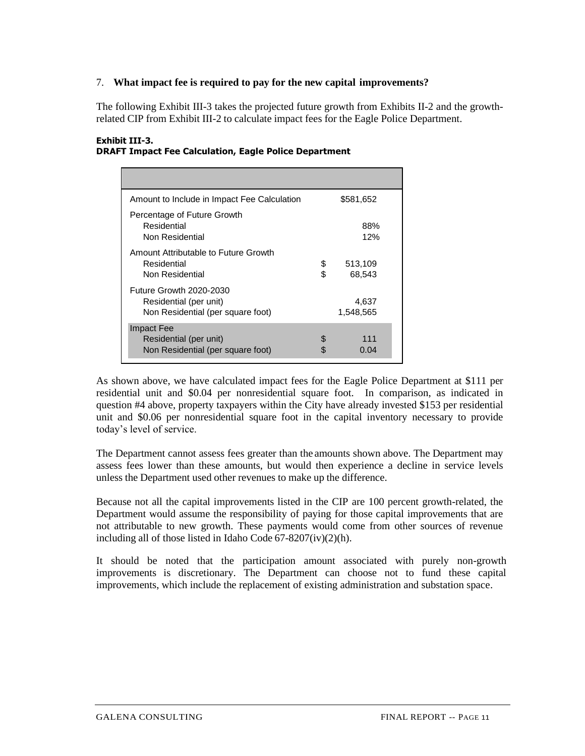#### 7. **What impact fee is required to pay for the new capital improvements?**

The following Exhibit III-3 takes the projected future growth from Exhibits II-2 and the growthrelated CIP from Exhibit III-2 to calculate impact fees for the Eagle Police Department.

| <b>DRAFT Impact Fee Calculation, Eagle Police Department</b> |           |
|--------------------------------------------------------------|-----------|
|                                                              |           |
| Amount to Include in Impact Fee Calculation                  | \$581,652 |
| Percentage of Future Growth                                  |           |

Residential 88% Non Residential 12%

Residential **\$** 513,109 Non Residential 68.543

## **Exhibit III-3.**

Amount Attributable to Future Growth

| Residential (per unit)            | 4,637     |
|-----------------------------------|-----------|
| Non Residential (per square foot) | 1,548,565 |
| Impact Fee                        |           |
| Residential (per unit)            | 111       |
| Non Residential (per square foot) | 0.04      |

As shown above, we have calculated impact fees for the Eagle Police Department at \$111 per residential unit and \$0.04 per nonresidential square foot. In comparison, as indicated in question #4 above, property taxpayers within the City have already invested \$153 per residential unit and \$0.06 per nonresidential square foot in the capital inventory necessary to provide today's level of service.

The Department cannot assess fees greater than the amounts shown above. The Department may assess fees lower than these amounts, but would then experience a decline in service levels unless the Department used other revenues to make up the difference.

Because not all the capital improvements listed in the CIP are 100 percent growth-related, the Department would assume the responsibility of paying for those capital improvements that are not attributable to new growth. These payments would come from other sources of revenue including all of those listed in Idaho Code 67-8207(iv)(2)(h).

It should be noted that the participation amount associated with purely non-growth improvements is discretionary. The Department can choose not to fund these capital improvements, which include the replacement of existing administration and substation space.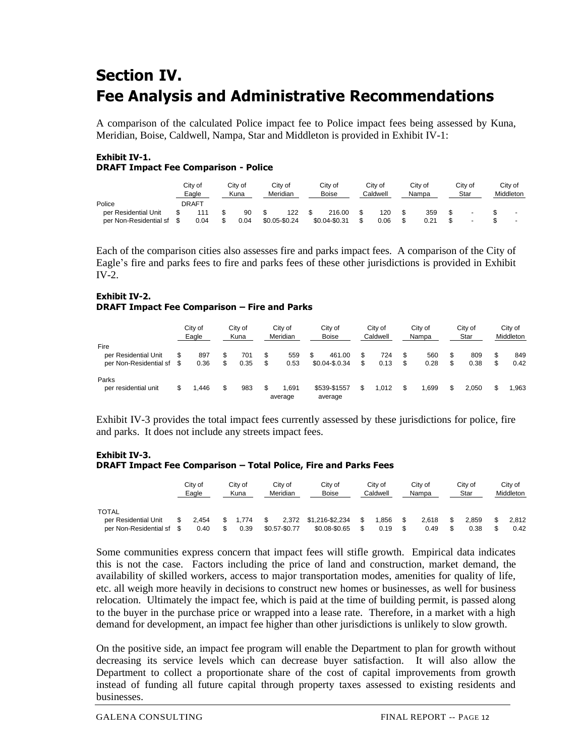# **Section IV. Fee Analysis and Administrative Recommendations**

A comparison of the calculated Police impact fee to Police impact fees being assessed by Kuna, Meridian, Boise, Caldwell, Nampa, Star and Middleton is provided in Exhibit IV-1:

## **Exhibit IV-1. DRAFT Impact Fee Comparison - Police**

|                        | Citv of<br>Eagle |              | City of<br>Kuna |      | Citv of<br>Meridian |               | City of<br><b>Boise</b> |               | Citv of<br>Caldwell |      | City of<br>Nampa |      | Citv of<br>Star          | Citv of<br>Middleton |   |  |
|------------------------|------------------|--------------|-----------------|------|---------------------|---------------|-------------------------|---------------|---------------------|------|------------------|------|--------------------------|----------------------|---|--|
| Police                 |                  | <b>DRAFT</b> |                 |      |                     |               |                         |               |                     |      |                  |      |                          |                      |   |  |
| per Residential Unit   |                  | 111          |                 | 90   |                     | 122           |                         | 216.00        |                     | 120  |                  | 359  | $\overline{\phantom{0}}$ |                      |   |  |
| per Non-Residential sf |                  | 0.04         |                 | 0.04 |                     | \$0.05-\$0.24 |                         | \$0.04-\$0.31 |                     | 0.06 |                  | 0.21 | $\overline{\phantom{a}}$ |                      | - |  |

Each of the comparison cities also assesses fire and parks impact fees. A comparison of the City of Eagle's fire and parks fees to fire and parks fees of these other jurisdictions is provided in Exhibit IV-2.

#### **Exhibit IV-2. DRAFT Impact Fee Comparison – Fire and Parks**

|                        | City of<br>Eagle |      | City of<br>Kuna |      | City of<br>Meridian |                 | City of<br><b>Boise</b> | City of<br>Caldwell |       | City of<br>Nampa |      | City of<br>Star |       | City of<br>Middleton |       |
|------------------------|------------------|------|-----------------|------|---------------------|-----------------|-------------------------|---------------------|-------|------------------|------|-----------------|-------|----------------------|-------|
| Fire                   |                  |      |                 |      |                     |                 |                         |                     |       |                  |      |                 |       |                      |       |
| per Residential Unit   | S                | 897  | S               | 701  | S                   | 559             | 461.00<br>\$            | \$.                 | 724   | S                | 560  |                 | 809   |                      | 849   |
| per Non-Residential sf | \$.              | 0.36 | \$              | 0.35 | S                   | 0.53            | \$0.04-\$0.34           | \$                  | 0.13  | \$               | 0.28 | \$              | 0.38  |                      | 0.42  |
| Parks                  |                  |      |                 |      |                     |                 |                         |                     |       |                  |      |                 |       |                      |       |
| per residential unit   | \$               | .446 | \$              | 983  |                     | .691<br>average | \$539-\$1557<br>average | \$                  | 1.012 | \$               | .699 |                 | 2.050 |                      | 1,963 |

Exhibit IV-3 provides the total impact fees currently assessed by these jurisdictions for police, fire and parks. It does not include any streets impact fees.

#### **Exhibit IV-3. DRAFT Impact Fee Comparison – Total Police, Fire and Parks Fees**

|                                      | Citv of<br>Eagle |       | City of<br>Kuna |  | City of<br>Meridian | City of<br><b>Boise</b> | Citv of<br>Caldwell |      | Citv of<br>Nampa |       | City of<br>Star |  | Citv of<br>Middleton |  |
|--------------------------------------|------------------|-------|-----------------|--|---------------------|-------------------------|---------------------|------|------------------|-------|-----------------|--|----------------------|--|
| <b>TOTAL</b><br>per Residential Unit | S                | 2.454 | .774            |  | 2,372               | \$1,216-\$2,234         |                     | .856 |                  | 2.618 | 2.859           |  | 2.812                |  |
| per Non-Residential sf               |                  | 0.40  | 0.39            |  | \$0.57-\$0.77       | \$0.08-\$0.65           |                     | 0.19 |                  | 0.49  | 0.38            |  | 0.42                 |  |

Some communities express concern that impact fees will stifle growth. Empirical data indicates this is not the case. Factors including the price of land and construction, market demand, the availability of skilled workers, access to major transportation modes, amenities for quality of life, etc. all weigh more heavily in decisions to construct new homes or businesses, as well for business relocation. Ultimately the impact fee, which is paid at the time of building permit, is passed along to the buyer in the purchase price or wrapped into a lease rate. Therefore, in a market with a high demand for development, an impact fee higher than other jurisdictions is unlikely to slow growth. Points<br>
The Chemical Contract and City of City of City of City of City of City of City of City of City of City of City of City of City of City of City of City of City of City of City of City of City of City of City of Cit

On the positive side, an impact fee program will enable the Department to plan for growth without decreasing its service levels which can decrease buyer satisfaction. It will also allow the Department to collect a proportionate share of the cost of capital improvements from growth instead of funding all future capital through property taxes assessed to existing residents and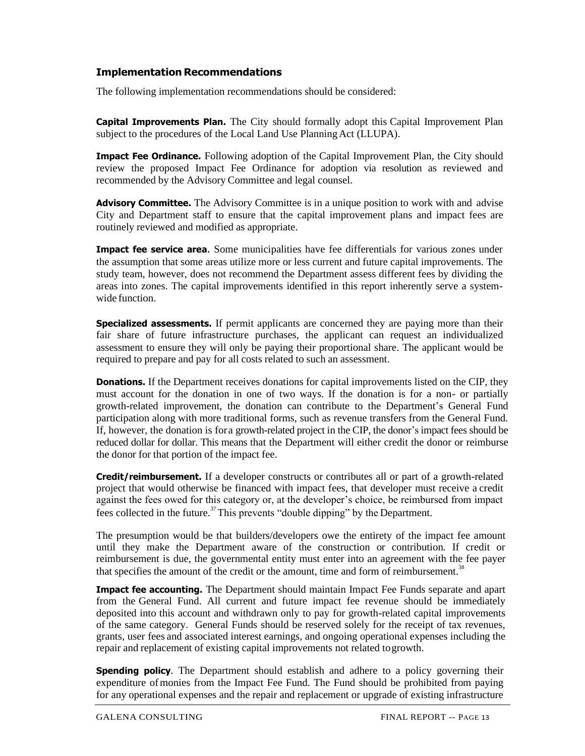### **Implementation Recommendations**

The following implementation recommendations should be considered:

**Capital Improvements Plan.** The City should formally adopt this Capital Improvement Plan subject to the procedures of the Local Land Use Planning Act (LLUPA).

**Impact Fee Ordinance.** Following adoption of the Capital Improvement Plan, the City should review the proposed Impact Fee Ordinance for adoption via resolution as reviewed and recommended by the Advisory Committee and legal counsel.

**Advisory Committee.** The Advisory Committee is in a unique position to work with and advise City and Department staff to ensure that the capital improvement plans and impact fees are routinely reviewed and modified as appropriate.

**Impact fee service area.** Some municipalities have fee differentials for various zones under the assumption that some areas utilize more or less current and future capital improvements. The study team, however, does not recommend the Department assess different fees by dividing the areas into zones. The capital improvements identified in this report inherently serve a systemwide function.

**Specialized assessments.** If permit applicants are concerned they are paying more than their fair share of future infrastructure purchases, the applicant can request an individualized assessment to ensure they will only be paying their proportional share. The applicant would be required to prepare and pay for all costs related to such an assessment.

**Donations.** If the Department receives donations for capital improvements listed on the CIP, they must account for the donation in one of two ways. If the donation is for a non- or partially growth-related improvement, the donation can contribute to the Department's General Fund participation along with more traditional forms, such as revenue transfers from the General Fund. If, however, the donation is fora growth-related project in the CIP, the donor's impact fees should be reduced dollar for dollar. This means that the Department will either credit the donor or reimburse the donor for that portion of the impact fee.

**Credit/reimbursement.** If a developer constructs or contributes all or part of a growth-related project that would otherwise be financed with impact fees, that developer must receive a credit against the fees owed for this category or, at the developer's choice, be reimbursed from impact fees collected in the future.<sup>37</sup>This prevents "double dipping" by the Department.

The presumption would be that builders/developers owe the entirety of the impact fee amount until they make the Department aware of the construction or contribution. If credit or reimbursement is due, the governmental entity must enter into an agreement with the fee payer that specifies the amount of the credit or the amount, time and form of reimbursement.<sup>38</sup>

**Impact fee accounting.** The Department should maintain Impact Fee Funds separate and apart from the General Fund. All current and future impact fee revenue should be immediately deposited into this account and withdrawn only to pay for growth-related capital improvements of the same category. General Funds should be reserved solely for the receipt of tax revenues, grants, user fees and associated interest earnings, and ongoing operational expenses including the repair and replacement of existing capital improvements not related togrowth.

**Spending policy.** The Department should establish and adhere to a policy governing their expenditure ofmonies from the Impact Fee Fund. The Fund should be prohibited from paying for any operational expenses and the repair and replacement or upgrade of existing infrastructure